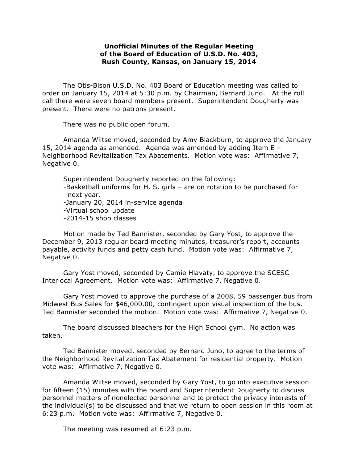## **Unofficial Minutes of the Regular Meeting of the Board of Education of U.S.D. No. 403, Rush County, Kansas, on January 15, 2014**

The Otis-Bison U.S.D. No. 403 Board of Education meeting was called to order on January 15, 2014 at 5:30 p.m. by Chairman, Bernard Juno. At the roll call there were seven board members present. Superintendent Dougherty was present. There were no patrons present.

There was no public open forum.

Amanda Wiltse moved, seconded by Amy Blackburn, to approve the January 15, 2014 agenda as amended. Agenda was amended by adding Item E – Neighborhood Revitalization Tax Abatements. Motion vote was: Affirmative 7, Negative 0.

Superintendent Dougherty reported on the following: -Basketball uniforms for H. S. girls – are on rotation to be purchased for next year. -January 20, 2014 in-service agenda -Virtual school update -2014-15 shop classes

Motion made by Ted Bannister, seconded by Gary Yost, to approve the December 9, 2013 regular board meeting minutes, treasurer's report, accounts payable, activity funds and petty cash fund. Motion vote was: Affirmative 7, Negative 0.

Gary Yost moved, seconded by Camie Hlavaty, to approve the SCESC Interlocal Agreement. Motion vote was: Affirmative 7, Negative 0.

Gary Yost moved to approve the purchase of a 2008, 59 passenger bus from Midwest Bus Sales for \$46,000.00, contingent upon visual inspection of the bus. Ted Bannister seconded the motion. Motion vote was: Affirmative 7, Negative 0.

The board discussed bleachers for the High School gym. No action was taken.

Ted Bannister moved, seconded by Bernard Juno, to agree to the terms of the Neighborhood Revitalization Tax Abatement for residential property. Motion vote was: Affirmative 7, Negative 0.

 Amanda Wiltse moved, seconded by Gary Yost, to go into executive session for fifteen (15) minutes with the board and Superintendent Dougherty to discuss personnel matters of nonelected personnel and to protect the privacy interests of the individual(s) to be discussed and that we return to open session in this room at 6:23 p.m. Motion vote was: Affirmative 7, Negative 0.

The meeting was resumed at 6:23 p.m.